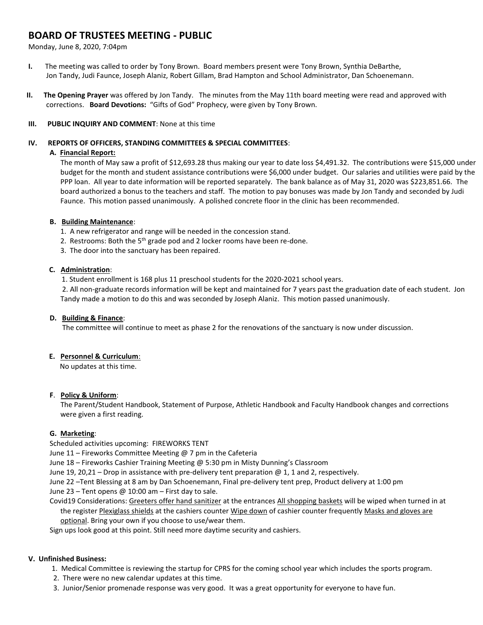# **BOARD OF TRUSTEES MEETING - PUBLIC**

Monday, June 8, 2020, 7:04pm

- **I.** The meeting was called to order by Tony Brown. Board members present were Tony Brown, Synthia DeBarthe, Jon Tandy, Judi Faunce, Joseph Alaniz, Robert Gillam, Brad Hampton and School Administrator, Dan Schoenemann.
- **II. The Opening Prayer** was offered by Jon Tandy. The minutes from the May 11th board meeting were read and approved with corrections. **Board Devotions:** "Gifts of God" Prophecy, were given by Tony Brown.

## **III. PUBLIC INQUIRY AND COMMENT**: None at this time

### **IV. REPORTS OF OFFICERS, STANDING COMMITTEES & SPECIAL COMMITTEES**:

## **A. Financial Report:**

The month of May saw a profit of \$12,693.28 thus making our year to date loss \$4,491.32. The contributions were \$15,000 under budget for the month and student assistance contributions were \$6,000 under budget. Our salaries and utilities were paid by the PPP loan. All year to date information will be reported separately. The bank balance as of May 31, 2020 was \$223,851.66. The board authorized a bonus to the teachers and staff. The motion to pay bonuses was made by Jon Tandy and seconded by Judi Faunce. This motion passed unanimously. A polished concrete floor in the clinic has been recommended.

## **B. Building Maintenance**:

- 1. A new refrigerator and range will be needed in the concession stand.
- 2. Restrooms: Both the  $5<sup>th</sup>$  grade pod and 2 locker rooms have been re-done.
- 3. The door into the sanctuary has been repaired.

## **C. Administration**:

1. Student enrollment is 168 plus 11 preschool students for the 2020-2021 school years.

2. All non-graduate records information will be kept and maintained for 7 years past the graduation date of each student. Jon Tandy made a motion to do this and was seconded by Joseph Alaniz. This motion passed unanimously.

# **D. Building & Finance**:

The committee will continue to meet as phase 2 for the renovations of the sanctuary is now under discussion.

#### **E. Personnel & Curriculum**:

No updates at this time.

# **F**. **Policy & Uniform**:

 The Parent/Student Handbook, Statement of Purpose, Athletic Handbook and Faculty Handbook changes and corrections were given a first reading.

# **G. Marketing**:

Scheduled activities upcoming: FIREWORKS TENT

June 11 – Fireworks Committee Meeting @ 7 pm in the Cafeteria

- June 18 Fireworks Cashier Training Meeting @ 5:30 pm in Misty Dunning's Classroom
- June 19, 20,21 Drop in assistance with pre-delivery tent preparation @ 1, 1 and 2, respectively.
- June 22 –Tent Blessing at 8 am by Dan Schoenemann, Final pre-delivery tent prep, Product delivery at 1:00 pm
- June 23 Tent opens  $@10:00$  am First day to sale.
- Covid19 Considerations: Greeters offer hand sanitizer at the entrances All shopping baskets will be wiped when turned in at the register Plexiglass shields at the cashiers counter Wipe down of cashier counter frequently Masks and gloves are optional. Bring your own if you choose to use/wear them.

Sign ups look good at this point. Still need more daytime security and cashiers.

# **V. Unfinished Business:**

- 1. Medical Committee is reviewing the startup for CPRS for the coming school year which includes the sports program.
- 2. There were no new calendar updates at this time.
- 3. Junior/Senior promenade response was very good. It was a great opportunity for everyone to have fun.